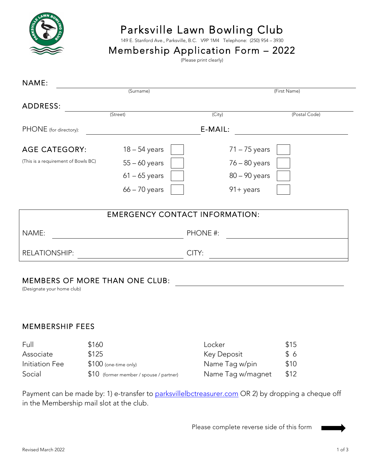

# Parksville Lawn Bowling Club<br>149 E. Stanford Ave., Parksville, B.C. V9P 1M4 Telephone: (250) 954 – 3930

## Membership Application Form  $-2022$

| NAME:                               | (Surname)                             |              |                 |               |
|-------------------------------------|---------------------------------------|--------------|-----------------|---------------|
|                                     |                                       | (First Name) |                 |               |
| <b>ADDRESS:</b>                     |                                       |              |                 |               |
|                                     | (Street)                              | (City)       |                 | (Postal Code) |
| PHONE (for directory):              |                                       | E-MAIL:      |                 |               |
| <b>AGE CATEGORY:</b>                | $18 - 54$ years                       |              | $71 - 75$ years |               |
| (This is a requirement of Bowls BC) | $55 - 60$ years                       |              | $76 - 80$ years |               |
|                                     | $61 - 65$ years                       |              | 80 - 90 years   |               |
|                                     | $66 - 70$ years                       |              | $91 + years$    |               |
|                                     | <b>EMERGENCY CONTACT INFORMATION:</b> |              |                 |               |
| NAME:                               |                                       | PHONE #:     |                 |               |
| <b>RELATIONSHIP:</b>                |                                       | CITY:        |                 |               |
|                                     |                                       |              |                 |               |

### MEMBERS OF MORE THAN ONE CLUB:

(Designate your home club)

#### MEMBERSHIP FEES

| Full           | \$160                                    | Locker            | \$15 |
|----------------|------------------------------------------|-------------------|------|
| Associate      | \$125                                    | Key Deposit       | \$6  |
| Initiation Fee | $$100$ (one-time only)                   | Name Tag w/pin    | \$10 |
| Social         | $$10$ (former member / spouse / partner) | Name Tag w/magnet | \$12 |

Payment can be made by: 1) e-transfer to parksvillelbctreasurer.com OR 2) by dropping a cheque off in the Membership mail slot at the club.

Please complete reverse side of this form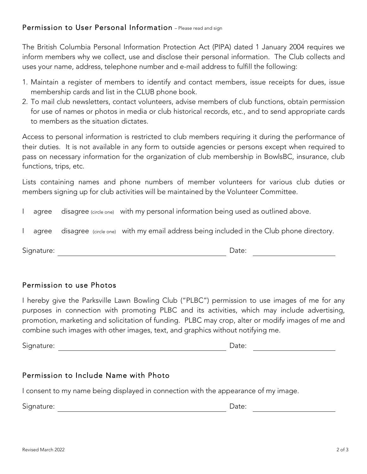### Permission to User Personal Information - Please read and sign

The British Columbia Personal Information Protection Act (PIPA) dated 1 January 2004 requires we inform members why we collect, use and disclose their personal information. The Club collects and uses your name, address, telephone number and e-mail address to fulfill the following:

- 1. Maintain a register of members to identify and contact members, issue receipts for dues, issue membership cards and list in the CLUB phone book.
- 2. To mail club newsletters, contact volunteers, advise members of club functions, obtain permission for use of names or photos in media or club historical records, etc., and to send appropriate cards to members as the situation dictates.

Access to personal information is restricted to club members requiring it during the performance of their duties. It is not available in any form to outside agencies or persons except when required to pass on necessary information for the organization of club membership in BowlsBC, insurance, club functions, trips, etc.

Lists containing names and phone numbers of member volunteers for various club duties or members signing up for club activities will be maintained by the Volunteer Committee.

I agree disagree (circle one) with my personal information being used as outlined above.

|  | agree disagree (circle one) with my email address being included in the Club phone directory. |  |  |  |
|--|-----------------------------------------------------------------------------------------------|--|--|--|
|  |                                                                                               |  |  |  |

Signature: Date:

### Permission to use Photos

I hereby give the Parksville Lawn Bowling Club ("PLBC") permission to use images of me for any purposes in connection with promoting PLBC and its activities, which may include advertising, promotion, marketing and solicitation of funding. PLBC may crop, alter or modify images of me and combine such images with other images, text, and graphics without notifying me.

Signature: **Date:** Date: **Date:** Date: **Date: Date: Date: Date: Date: Date: Date: Date: Date: Date: Date: Date: Date: Date: Date: Date: Date: Date: Date: Date: Date: Date: Date:** 

### Permission to Include Name with Photo

I consent to my name being displayed in connection with the appearance of my image.

Signature: **Date:** Date: **Date:** Date: **Date:** Partnerships and Date: **Date:** Partnerships and Date: **Date:**  $\theta$